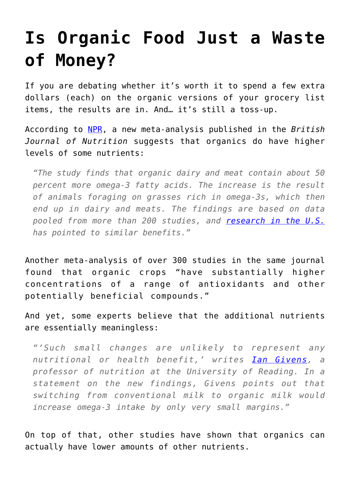## **[Is Organic Food Just a Waste](https://intellectualtakeout.org/2016/02/is-organic-food-just-a-waste-of-money/) [of Money?](https://intellectualtakeout.org/2016/02/is-organic-food-just-a-waste-of-money/)**

If you are debating whether it's worth it to spend a few extra dollars (each) on the organic versions of your grocery list items, the results are in. And… it's still a toss-up.

According to [NPR](http://www.npr.org/sections/thesalt/2016/02/18/467136329/is-organic-more-nutritious-new-study-adds-to-the-evidence), a new meta-analysis published in the *British Journal of Nutrition* suggests that organics do have higher levels of some nutrients:

*"The study finds that organic dairy and meat contain about 50 percent more omega-3 fatty acids. The increase is the result of animals foraging on grasses rich in omega-3s, which then end up in dairy and meats. The findings are based on data pooled from more than 200 studies, and [research in the U.S.](http://www.npr.org/sections/thesalt/2013/12/09/249794467/fresh-research-finds-organic-milk-packs-in-omega-3s) has pointed to similar benefits."*

Another meta-analysis of over 300 studies in the same journal found that organic crops "have substantially higher concentrations of a range of antioxidants and other potentially beneficial compounds."

And yet, some experts believe that the additional nutrients are essentially meaningless:

*"'Such small changes are unlikely to represent any nutritional or health benefit,' writes [Ian Givens](https://www.reading.ac.uk/apd/staff/d-i-givens.aspx), a professor of nutrition at the University of Reading. In a statement on the new findings, Givens points out that switching from conventional milk to organic milk would increase omega-3 intake by only very small margins."*

On top of that, other studies have shown that organics can actually have lower amounts of other nutrients.